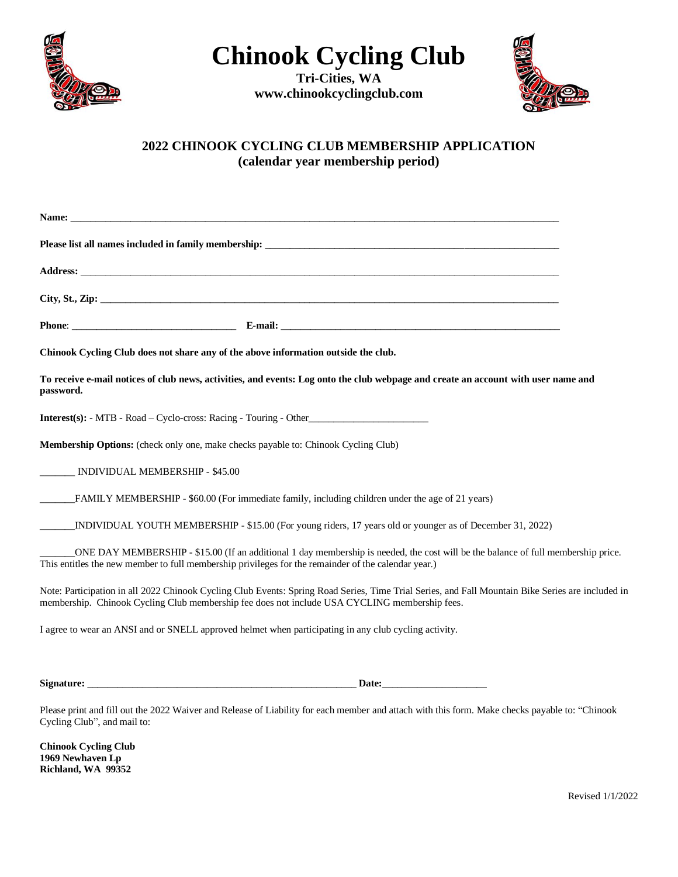

**Chinook Cycling Club**

**Tri-Cities, WA www.chinookcyclingclub.com**



## **2022 CHINOOK CYCLING CLUB MEMBERSHIP APPLICATION (calendar year membership period)**

| Chinook Cycling Club does not share any of the above information outside the club.                                                                                                                                                                 |  |
|----------------------------------------------------------------------------------------------------------------------------------------------------------------------------------------------------------------------------------------------------|--|
| To receive e-mail notices of club news, activities, and events: Log onto the club webpage and create an account with user name and<br>password.                                                                                                    |  |
| <b>Interest(s):</b> - MTB - Road – Cyclo-cross: Racing - Touring - Other                                                                                                                                                                           |  |
| <b>Membership Options:</b> (check only one, make checks payable to: Chinook Cycling Club)                                                                                                                                                          |  |
| _______ INDIVIDUAL MEMBERSHIP - \$45.00                                                                                                                                                                                                            |  |
| FAMILY MEMBERSHIP - \$60.00 (For immediate family, including children under the age of 21 years)<br>$\frac{1}{1}$                                                                                                                                  |  |
| INDIVIDUAL YOUTH MEMBERSHIP - \$15.00 (For young riders, 17 years old or younger as of December 31, 2022)                                                                                                                                          |  |
| ONE DAY MEMBERSHIP - \$15.00 (If an additional 1 day membership is needed, the cost will be the balance of full membership price.<br>This entitles the new member to full membership privileges for the remainder of the calendar year.)           |  |
| Note: Participation in all 2022 Chinook Cycling Club Events: Spring Road Series, Time Trial Series, and Fall Mountain Bike Series are included in<br>membership. Chinook Cycling Club membership fee does not include USA CYCLING membership fees. |  |
| I agree to wear an ANSI and or SNELL approved helmet when participating in any club cycling activity.                                                                                                                                              |  |

**Signature:** \_\_\_\_\_\_\_\_\_\_\_\_\_\_\_\_\_\_\_\_\_\_\_\_\_\_\_\_\_\_\_\_\_\_\_\_\_\_\_\_\_\_\_\_\_\_\_\_\_\_\_\_\_\_ **Date:**\_\_\_\_\_\_\_\_\_\_\_\_\_\_\_\_\_\_\_\_\_

Please print and fill out the 2022 Waiver and Release of Liability for each member and attach with this form. Make checks payable to: "Chinook Cycling Club", and mail to:

**Chinook Cycling Club 1969 Newhaven Lp Richland, WA 99352**